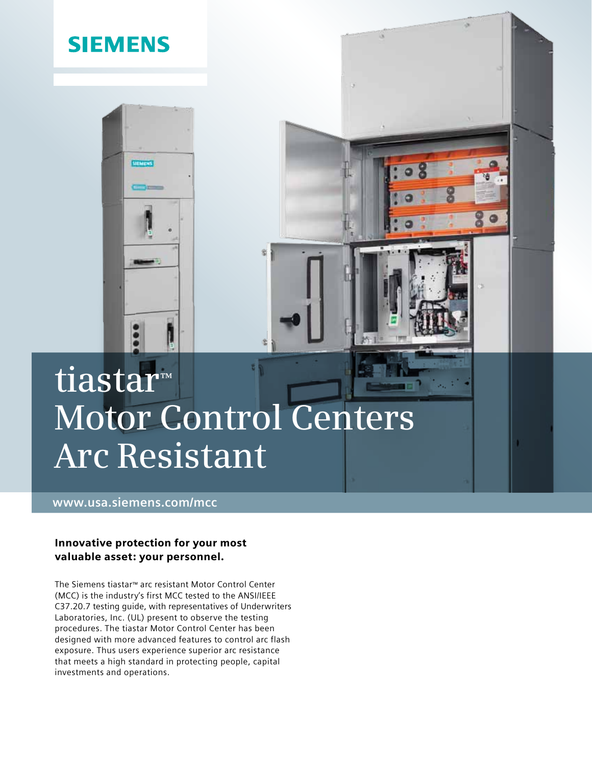

## **www.usa.siemens.com/mcc**

## Innovative protection for your most valuable asset: your personnel.

The Siemens tiastar™ arc resistant Motor Control Center (MCC) is the industry's first MCC tested to the ANSI/IEEE C37.20.7 testing guide, with representatives of Underwriters Laboratories, Inc. (UL) present to observe the testing procedures. The tiastar Motor Control Center has been designed with more advanced features to control arc flash exposure. Thus users experience superior arc resistance that meets a high standard in protecting people, capital investments and operations.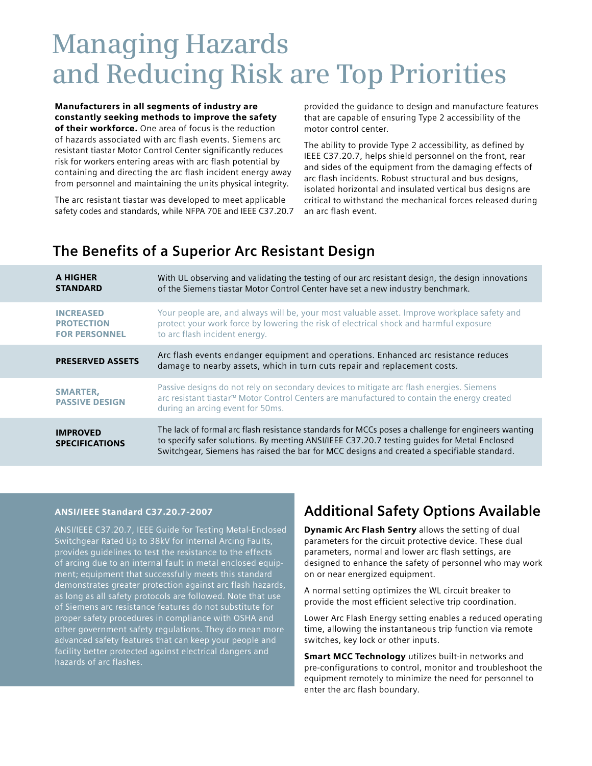# **Managing Hazards and Reducing Risk are Top Priorities**

Manufacturers in all segments of industry are constantly seeking methods to improve the safety of their workforce. One area of focus is the reduction of hazards associated with arc flash events. Siemens arc resistant tiastar Motor Control Center significantly reduces risk for workers entering areas with arc flash potential by containing and directing the arc flash incident energy away from personnel and maintaining the units physical integrity.

The arc resistant tiastar was developed to meet applicable safety codes and standards, while NFPA 70E and IEEE C37.20.7 provided the guidance to design and manufacture features that are capable of ensuring Type 2 accessibility of the motor control center.

The ability to provide Type 2 accessibility, as defined by IEEE C37.20.7, helps shield personnel on the front, rear and sides of the equipment from the damaging effects of arc flash incidents. Robust structural and bus designs, isolated horizontal and insulated vertical bus designs are critical to withstand the mechanical forces released during an arc flash event.

## **The Benefits of a Superior Arc Resistant Design**

| A HIGHER<br><b>STANDARD</b>                                   | With UL observing and validating the testing of our arc resistant design, the design innovations<br>of the Siemens tiastar Motor Control Center have set a new industry benchmark.                                                                                                              |
|---------------------------------------------------------------|-------------------------------------------------------------------------------------------------------------------------------------------------------------------------------------------------------------------------------------------------------------------------------------------------|
| <b>INCREASED</b><br><b>PROTECTION</b><br><b>FOR PERSONNEL</b> | Your people are, and always will be, your most valuable asset. Improve workplace safety and<br>protect your work force by lowering the risk of electrical shock and harmful exposure<br>to arc flash incident energy.                                                                           |
| <b>PRESERVED ASSETS</b>                                       | Arc flash events endanger equipment and operations. Enhanced arc resistance reduces<br>damage to nearby assets, which in turn cuts repair and replacement costs.                                                                                                                                |
| <b>SMARTER,</b><br><b>PASSIVE DESIGN</b>                      | Passive designs do not rely on secondary devices to mitigate arc flash energies. Siemens<br>arc resistant tiastar™ Motor Control Centers are manufactured to contain the energy created<br>during an arcing event for 50ms.                                                                     |
| <b>IMPROVED</b><br><b>SPECIFICATIONS</b>                      | The lack of formal arc flash resistance standards for MCCs poses a challenge for engineers wanting<br>to specify safer solutions. By meeting ANSI/IEEE C37.20.7 testing quides for Metal Enclosed<br>Switchgear, Siemens has raised the bar for MCC designs and created a specifiable standard. |

### ANSI/IEEE Standard C37.20.7-2007

ANSI/IEEE C37.20.7, IEEE Guide for Testing Metal-Enclosed Switchgear Rated Up to 38kV for Internal Arcing Faults, provides guidelines to test the resistance to the effects of arcing due to an internal fault in metal enclosed equipment; equipment that successfully meets this standard demonstrates greater protection against arc flash hazards, as long as all safety protocols are followed. Note that use of Siemens arc resistance features do not substitute for proper safety procedures in compliance with OSHA and other government safety regulations. They do mean more advanced safety features that can keep your people and facility better protected against electrical dangers and hazards of arc flashes.

## **Additional Safety Options Available**

**Dynamic Arc Flash Sentry allows the setting of dual** parameters for the circuit protective device. These dual parameters, normal and lower arc flash settings, are designed to enhance the safety of personnel who may work on or near energized equipment.

A normal setting optimizes the WL circuit breaker to provide the most efficient selective trip coordination.

Lower Arc Flash Energy setting enables a reduced operating time, allowing the instantaneous trip function via remote switches, key lock or other inputs.

**Smart MCC Technology** utilizes built-in networks and pre-configurations to control, monitor and troubleshoot the equipment remotely to minimize the need for personnel to enter the arc flash boundary.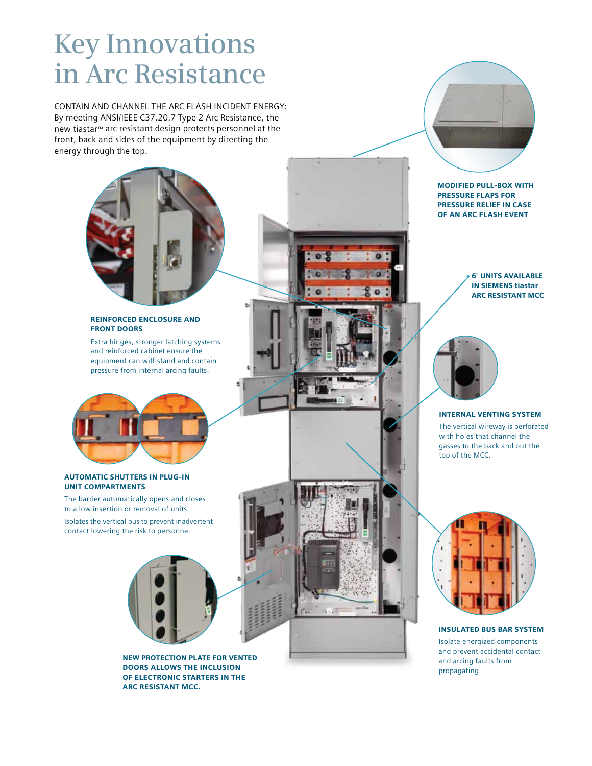# **Key Innovations in Arc Resistance**

CONTAIN AND CHANNEL THE ARC FLASH INCIDENT ENERGY: By meeting ANSI/IEEE C37.20.7 Type 2 Arc Resistance, the new tiastar™ arc resistant design protects personnel at the front, back and sides of the equipment by directing the energy through the top.



### REINFORCED ENCLOSURE AND FRONT DOORS

Extra hinges, stronger latching systems and reinforced cabinet ensure the equipment can withstand and contain pressure from internal arcing faults.



### AUTOMATIC SHUTTERS IN PLUG-IN UNIT COMPARTMENTS

The barrier automatically opens and closes to allow insertion or removal of units. Isolates the vertical bus to prevent inadvertent contact lowering the risk to personnel.



NEW PROTECTION PLATE FOR VENTED DOORS ALLOWS THE INCLUSION OF ELECTRONIC STARTERS IN THE ARC RESISTANT MCC.





6" UNITS AVAILABLE IN SIEMENS tiastar ARC RESISTANT MCC



#### INTERNAL VENTING SYSTEM

The vertical wireway is perforated with holes that channel the gasses to the back and out the top of the MCC.



INSULATED BUS BAR SYSTEM Isolate energized components and prevent accidental contact and arcing faults from propagating.